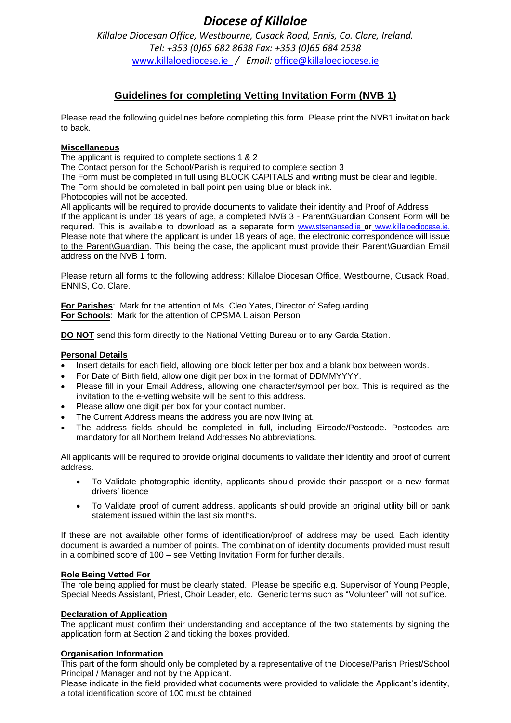# *Diocese of Killaloe*

*Killaloe Diocesan Office, Westbourne, Cusack Road, Ennis, Co. Clare, Ireland. Tel: +353 (0)65 682 8638 Fax: +353 (0)65 684 2538* [www.killaloediocese.ie](http://www.killaloediocese.ie/) */ Email:* [office@killaloediocese.ie](mailto:office@killaloediocese.ie)

# **Guidelines for completing Vetting Invitation Form (NVB 1)**

Please read the following guidelines before completing this form. Please print the NVB1 invitation back to back.

### **Miscellaneous**

The applicant is required to complete sections 1 & 2

The Contact person for the School/Parish is required to complete section 3

The Form must be completed in full using BLOCK CAPITALS and writing must be clear and legible.

The Form should be completed in ball point pen using blue or black ink.

Photocopies will not be accepted.

All applicants will be required to provide documents to validate their identity and Proof of Address If the applicant is under 18 years of age, a completed NVB 3 - Parent\Guardian Consent Form will be required. This is available to download as a separate form [www.stsenansed.ie](http://www.stsenansed.ie/) **or** www.killaloediocese.ie. Please note that where the applicant is under 18 years of age, the electronic correspondence will issue to the Parent\Guardian. This being the case, the applicant must provide their Parent\Guardian Email address on the NVB 1 form.

Please return all forms to the following address: Killaloe Diocesan Office, Westbourne, Cusack Road, ENNIS, Co. Clare.

**For Parishes**: Mark for the attention of Ms. Cleo Yates, Director of Safeguarding **For Schools**: Mark for the attention of CPSMA Liaison Person

**DO NOT** send this form directly to the National Vetting Bureau or to any Garda Station.

### **Personal Details**

- Insert details for each field, allowing one block letter per box and a blank box between words.
- For Date of Birth field, allow one digit per box in the format of DDMMYYYY.
- Please fill in your Email Address, allowing one character/symbol per box. This is required as the invitation to the e-vetting website will be sent to this address.
- Please allow one digit per box for your contact number.
- The Current Address means the address you are now living at.
- The address fields should be completed in full, including Eircode/Postcode. Postcodes are mandatory for all Northern Ireland Addresses No abbreviations.

All applicants will be required to provide original documents to validate their identity and proof of current address.

- To Validate photographic identity, applicants should provide their passport or a new format drivers' licence
- To Validate proof of current address, applicants should provide an original utility bill or bank statement issued within the last six months.

If these are not available other forms of identification/proof of address may be used. Each identity document is awarded a number of points. The combination of identity documents provided must result in a combined score of 100 – see Vetting Invitation Form for further details.

### **Role Being Vetted For**

The role being applied for must be clearly stated. Please be specific e.g. Supervisor of Young People, Special Needs Assistant, Priest, Choir Leader, etc. Generic terms such as "Volunteer" will not suffice.

#### **Declaration of Application**

The applicant must confirm their understanding and acceptance of the two statements by signing the application form at Section 2 and ticking the boxes provided.

#### **Organisation Information**

This part of the form should only be completed by a representative of the Diocese/Parish Priest/School Principal / Manager and not by the Applicant.

Please indicate in the field provided what documents were provided to validate the Applicant's identity, a total identification score of 100 must be obtained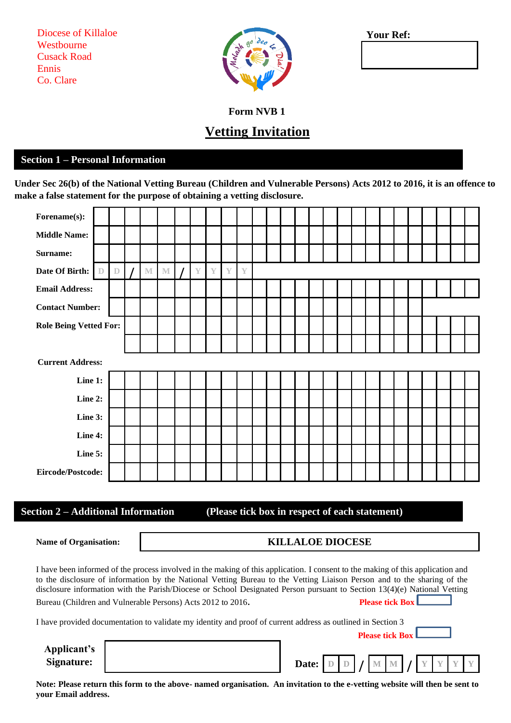Diocese of Killaloe Westbourne Cusack Road Ennis Co. Clare



**Your Ref:**

**Form NVB 1** 

# **Vetting Invitation**

## **Section 1 – Personal Information**

**Under Sec 26(b) of the National Vetting Bureau (Children and Vulnerable Persons) Acts 2012 to 2016, it is an offence to make a false statement for the purpose of obtaining a vetting disclosure.**

| Forename(s):                  |                         |             |  |             |             |  |               |               |               |                         |  |  |  |  |  |  |  |  |  |
|-------------------------------|-------------------------|-------------|--|-------------|-------------|--|---------------|---------------|---------------|-------------------------|--|--|--|--|--|--|--|--|--|
| <b>Middle Name:</b>           |                         |             |  |             |             |  |               |               |               |                         |  |  |  |  |  |  |  |  |  |
| Surname:                      |                         |             |  |             |             |  |               |               |               |                         |  |  |  |  |  |  |  |  |  |
| Date Of Birth:                | $\mathbb D$             | $\mathbb D$ |  | $\mathbb M$ | $\mathbb M$ |  | $\mathbb {Y}$ | $\mathbb {Y}$ | $\mathbb {Y}$ | $\overline{\mathbb{Y}}$ |  |  |  |  |  |  |  |  |  |
| <b>Email Address:</b>         |                         |             |  |             |             |  |               |               |               |                         |  |  |  |  |  |  |  |  |  |
| <b>Contact Number:</b>        |                         |             |  |             |             |  |               |               |               |                         |  |  |  |  |  |  |  |  |  |
| <b>Role Being Vetted For:</b> |                         |             |  |             |             |  |               |               |               |                         |  |  |  |  |  |  |  |  |  |
|                               |                         |             |  |             |             |  |               |               |               |                         |  |  |  |  |  |  |  |  |  |
|                               | <b>Current Address:</b> |             |  |             |             |  |               |               |               |                         |  |  |  |  |  |  |  |  |  |
| Line 1:                       |                         |             |  |             |             |  |               |               |               |                         |  |  |  |  |  |  |  |  |  |
| Line 2:                       |                         |             |  |             |             |  |               |               |               |                         |  |  |  |  |  |  |  |  |  |
| Line 3:                       |                         |             |  |             |             |  |               |               |               |                         |  |  |  |  |  |  |  |  |  |
| Line 4:                       |                         |             |  |             |             |  |               |               |               |                         |  |  |  |  |  |  |  |  |  |
| Line 5:                       |                         |             |  |             |             |  |               |               |               |                         |  |  |  |  |  |  |  |  |  |
| Eircode/Postcode:             |                         |             |  |             |             |  |               |               |               |                         |  |  |  |  |  |  |  |  |  |

## **Section 2 – Additional Information (Please tick box in respect of each statement)**

## **Name of Organisation: KILLALOE DIOCESE**

I have been informed of the process involved in the making of this application. I consent to the making of this application and to the disclosure of information by the National Vetting Bureau to the Vetting Liaison Person and to the sharing of the disclosure information with the Parish/Diocese or School Designated Person pursuant to Section 13(4)(e) National Vetting Bureau (Children and Vulnerable Persons) Acts 2012 to 2016**. Please tick Box**

I have provided documentation to validate my identity and proof of current address as outlined in Section 3

 **Please tick Box**

**Applicant's Signature:** Date: D **D D D D** 

| Signature:          |                                                                                                                             | <b>Date:</b> $D$ $D$ $M$ $M$ $Y$ $Y$ $Y$ |  |  |  |  |  |  |
|---------------------|-----------------------------------------------------------------------------------------------------------------------------|------------------------------------------|--|--|--|--|--|--|
| vour Email address. | Note: Please return this form to the above- named organisation. An invitation to the e-vetting website will then be sent to |                                          |  |  |  |  |  |  |